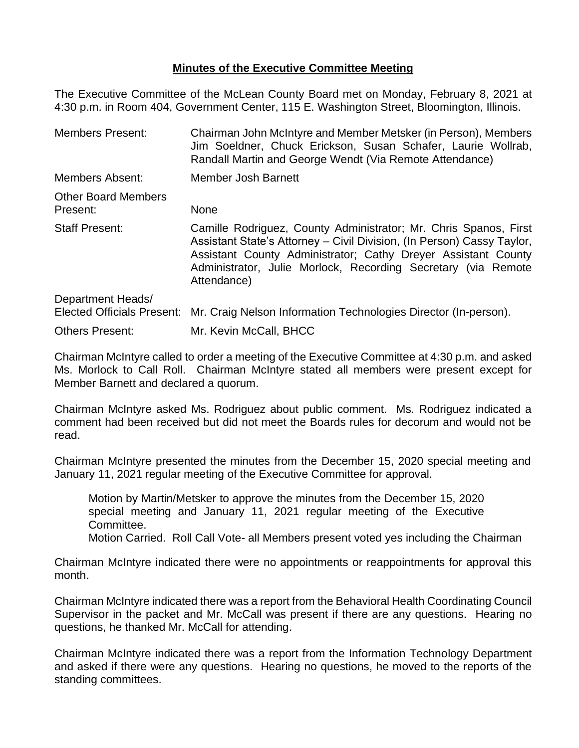## **Minutes of the Executive Committee Meeting**

The Executive Committee of the McLean County Board met on Monday, February 8, 2021 at 4:30 p.m. in Room 404, Government Center, 115 E. Washington Street, Bloomington, Illinois.

| <b>Members Present:</b>                                | Chairman John McIntyre and Member Metsker (in Person), Members<br>Jim Soeldner, Chuck Erickson, Susan Schafer, Laurie Wollrab,<br>Randall Martin and George Wendt (Via Remote Attendance)                                                                                                   |
|--------------------------------------------------------|---------------------------------------------------------------------------------------------------------------------------------------------------------------------------------------------------------------------------------------------------------------------------------------------|
| Members Absent:                                        | Member Josh Barnett                                                                                                                                                                                                                                                                         |
| <b>Other Board Members</b><br>Present:                 | <b>None</b>                                                                                                                                                                                                                                                                                 |
| <b>Staff Present:</b>                                  | Camille Rodriguez, County Administrator; Mr. Chris Spanos, First<br>Assistant State's Attorney – Civil Division, (In Person) Cassy Taylor,<br>Assistant County Administrator; Cathy Dreyer Assistant County<br>Administrator, Julie Morlock, Recording Secretary (via Remote<br>Attendance) |
| Department Heads/<br><b>Elected Officials Present:</b> | Mr. Craig Nelson Information Technologies Director (In-person).                                                                                                                                                                                                                             |
| Others Present:                                        | Mr. Kevin McCall, BHCC                                                                                                                                                                                                                                                                      |
|                                                        |                                                                                                                                                                                                                                                                                             |

Chairman McIntyre called to order a meeting of the Executive Committee at 4:30 p.m. and asked Ms. Morlock to Call Roll. Chairman McIntyre stated all members were present except for Member Barnett and declared a quorum.

Chairman McIntyre asked Ms. Rodriguez about public comment. Ms. Rodriguez indicated a comment had been received but did not meet the Boards rules for decorum and would not be read.

Chairman McIntyre presented the minutes from the December 15, 2020 special meeting and January 11, 2021 regular meeting of the Executive Committee for approval.

Motion by Martin/Metsker to approve the minutes from the December 15, 2020 special meeting and January 11, 2021 regular meeting of the Executive Committee.

Motion Carried. Roll Call Vote- all Members present voted yes including the Chairman

Chairman McIntyre indicated there were no appointments or reappointments for approval this month.

Chairman McIntyre indicated there was a report from the Behavioral Health Coordinating Council Supervisor in the packet and Mr. McCall was present if there are any questions. Hearing no questions, he thanked Mr. McCall for attending.

Chairman McIntyre indicated there was a report from the Information Technology Department and asked if there were any questions. Hearing no questions, he moved to the reports of the standing committees.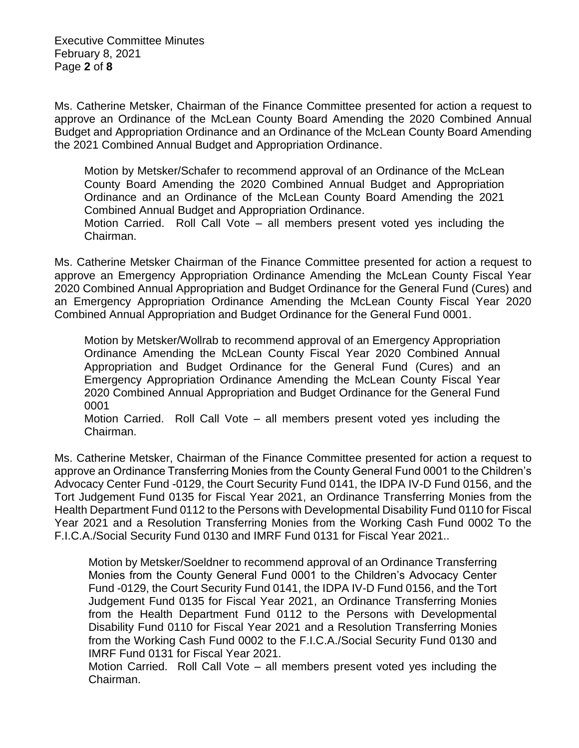Executive Committee Minutes February 8, 2021 Page **2** of **8**

Ms. Catherine Metsker, Chairman of the Finance Committee presented for action a request to approve an Ordinance of the McLean County Board Amending the 2020 Combined Annual Budget and Appropriation Ordinance and an Ordinance of the McLean County Board Amending the 2021 Combined Annual Budget and Appropriation Ordinance.

Motion by Metsker/Schafer to recommend approval of an Ordinance of the McLean County Board Amending the 2020 Combined Annual Budget and Appropriation Ordinance and an Ordinance of the McLean County Board Amending the 2021 Combined Annual Budget and Appropriation Ordinance.

Motion Carried. Roll Call Vote – all members present voted yes including the Chairman.

Ms. Catherine Metsker Chairman of the Finance Committee presented for action a request to approve an Emergency Appropriation Ordinance Amending the McLean County Fiscal Year 2020 Combined Annual Appropriation and Budget Ordinance for the General Fund (Cures) and an Emergency Appropriation Ordinance Amending the McLean County Fiscal Year 2020 Combined Annual Appropriation and Budget Ordinance for the General Fund 0001.

Motion by Metsker/Wollrab to recommend approval of an Emergency Appropriation Ordinance Amending the McLean County Fiscal Year 2020 Combined Annual Appropriation and Budget Ordinance for the General Fund (Cures) and an Emergency Appropriation Ordinance Amending the McLean County Fiscal Year 2020 Combined Annual Appropriation and Budget Ordinance for the General Fund 0001

Motion Carried. Roll Call Vote – all members present voted yes including the Chairman.

Ms. Catherine Metsker, Chairman of the Finance Committee presented for action a request to approve an Ordinance Transferring Monies from the County General Fund 0001 to the Children's Advocacy Center Fund -0129, the Court Security Fund 0141, the IDPA IV-D Fund 0156, and the Tort Judgement Fund 0135 for Fiscal Year 2021, an Ordinance Transferring Monies from the Health Department Fund 0112 to the Persons with Developmental Disability Fund 0110 for Fiscal Year 2021 and a Resolution Transferring Monies from the Working Cash Fund 0002 To the F.I.C.A./Social Security Fund 0130 and IMRF Fund 0131 for Fiscal Year 2021..

Motion by Metsker/Soeldner to recommend approval of an Ordinance Transferring Monies from the County General Fund 0001 to the Children's Advocacy Center Fund -0129, the Court Security Fund 0141, the IDPA IV-D Fund 0156, and the Tort Judgement Fund 0135 for Fiscal Year 2021, an Ordinance Transferring Monies from the Health Department Fund 0112 to the Persons with Developmental Disability Fund 0110 for Fiscal Year 2021 and a Resolution Transferring Monies from the Working Cash Fund 0002 to the F.I.C.A./Social Security Fund 0130 and IMRF Fund 0131 for Fiscal Year 2021.

Motion Carried. Roll Call Vote – all members present voted yes including the Chairman.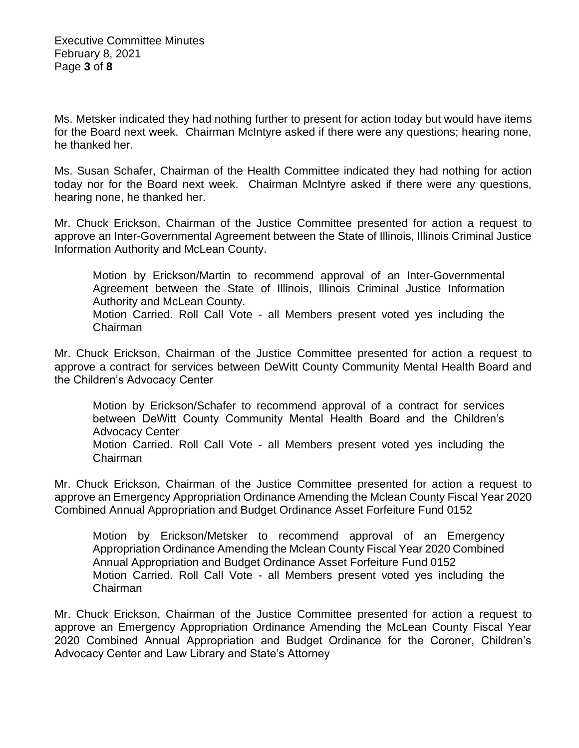Ms. Metsker indicated they had nothing further to present for action today but would have items for the Board next week. Chairman McIntyre asked if there were any questions; hearing none, he thanked her.

Ms. Susan Schafer, Chairman of the Health Committee indicated they had nothing for action today nor for the Board next week. Chairman McIntyre asked if there were any questions, hearing none, he thanked her.

Mr. Chuck Erickson, Chairman of the Justice Committee presented for action a request to approve an Inter-Governmental Agreement between the State of Illinois, Illinois Criminal Justice Information Authority and McLean County.

Motion by Erickson/Martin to recommend approval of an Inter-Governmental Agreement between the State of Illinois, Illinois Criminal Justice Information Authority and McLean County. Motion Carried. Roll Call Vote - all Members present voted yes including the Chairman

Mr. Chuck Erickson, Chairman of the Justice Committee presented for action a request to approve a contract for services between DeWitt County Community Mental Health Board and the Children's Advocacy Center

Motion by Erickson/Schafer to recommend approval of a contract for services between DeWitt County Community Mental Health Board and the Children's Advocacy Center Motion Carried. Roll Call Vote - all Members present voted yes including the Chairman

Mr. Chuck Erickson, Chairman of the Justice Committee presented for action a request to approve an Emergency Appropriation Ordinance Amending the Mclean County Fiscal Year 2020 Combined Annual Appropriation and Budget Ordinance Asset Forfeiture Fund 0152

Motion by Erickson/Metsker to recommend approval of an Emergency Appropriation Ordinance Amending the Mclean County Fiscal Year 2020 Combined Annual Appropriation and Budget Ordinance Asset Forfeiture Fund 0152 Motion Carried. Roll Call Vote - all Members present voted yes including the Chairman

Mr. Chuck Erickson, Chairman of the Justice Committee presented for action a request to approve an Emergency Appropriation Ordinance Amending the McLean County Fiscal Year 2020 Combined Annual Appropriation and Budget Ordinance for the Coroner, Children's Advocacy Center and Law Library and State's Attorney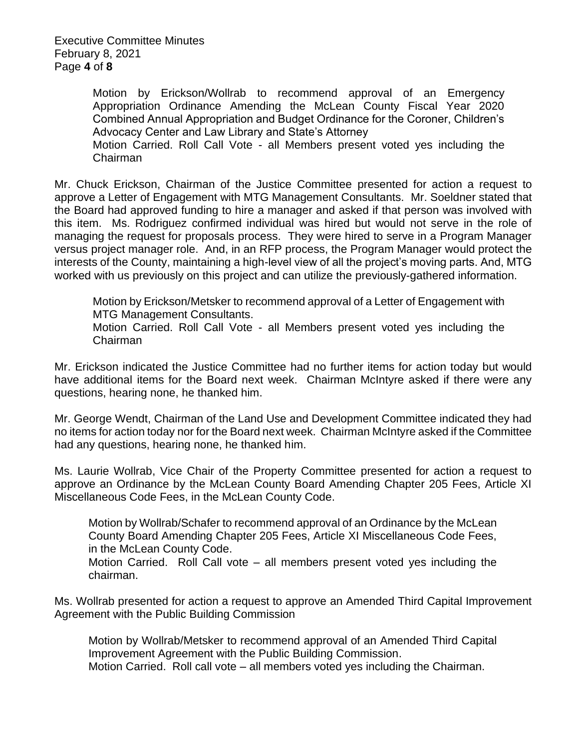Executive Committee Minutes February 8, 2021 Page **4** of **8**

> Motion by Erickson/Wollrab to recommend approval of an Emergency Appropriation Ordinance Amending the McLean County Fiscal Year 2020 Combined Annual Appropriation and Budget Ordinance for the Coroner, Children's Advocacy Center and Law Library and State's Attorney

> Motion Carried. Roll Call Vote - all Members present voted yes including the Chairman

Mr. Chuck Erickson, Chairman of the Justice Committee presented for action a request to approve a Letter of Engagement with MTG Management Consultants. Mr. Soeldner stated that the Board had approved funding to hire a manager and asked if that person was involved with this item. Ms. Rodriguez confirmed individual was hired but would not serve in the role of managing the request for proposals process. They were hired to serve in a Program Manager versus project manager role. And, in an RFP process, the Program Manager would protect the interests of the County, maintaining a high-level view of all the project's moving parts. And, MTG worked with us previously on this project and can utilize the previously-gathered information.

Motion by Erickson/Metsker to recommend approval of a Letter of Engagement with MTG Management Consultants.

Motion Carried. Roll Call Vote - all Members present voted yes including the Chairman

Mr. Erickson indicated the Justice Committee had no further items for action today but would have additional items for the Board next week. Chairman McIntyre asked if there were any questions, hearing none, he thanked him.

Mr. George Wendt, Chairman of the Land Use and Development Committee indicated they had no items for action today nor for the Board next week. Chairman McIntyre asked if the Committee had any questions, hearing none, he thanked him.

Ms. Laurie Wollrab, Vice Chair of the Property Committee presented for action a request to approve an Ordinance by the McLean County Board Amending Chapter 205 Fees, Article XI Miscellaneous Code Fees, in the McLean County Code.

Motion by Wollrab/Schafer to recommend approval of an Ordinance by the McLean County Board Amending Chapter 205 Fees, Article XI Miscellaneous Code Fees, in the McLean County Code. Motion Carried. Roll Call vote – all members present voted yes including the chairman.

Ms. Wollrab presented for action a request to approve an Amended Third Capital Improvement Agreement with the Public Building Commission

Motion by Wollrab/Metsker to recommend approval of an Amended Third Capital Improvement Agreement with the Public Building Commission. Motion Carried. Roll call vote – all members voted yes including the Chairman.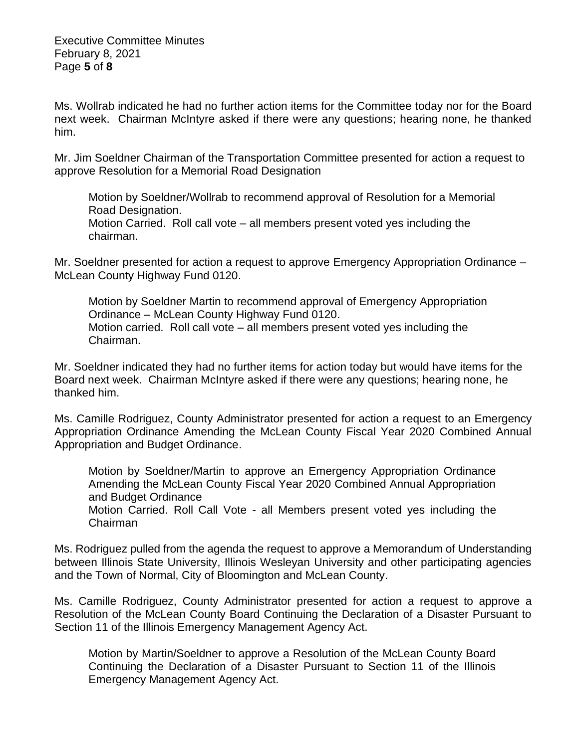Executive Committee Minutes February 8, 2021 Page **5** of **8**

Ms. Wollrab indicated he had no further action items for the Committee today nor for the Board next week. Chairman McIntyre asked if there were any questions; hearing none, he thanked him.

Mr. Jim Soeldner Chairman of the Transportation Committee presented for action a request to approve Resolution for a Memorial Road Designation

Motion by Soeldner/Wollrab to recommend approval of Resolution for a Memorial Road Designation. Motion Carried. Roll call vote – all members present voted yes including the chairman.

Mr. Soeldner presented for action a request to approve Emergency Appropriation Ordinance – McLean County Highway Fund 0120.

Motion by Soeldner Martin to recommend approval of Emergency Appropriation Ordinance – McLean County Highway Fund 0120. Motion carried. Roll call vote – all members present voted yes including the Chairman.

Mr. Soeldner indicated they had no further items for action today but would have items for the Board next week. Chairman McIntyre asked if there were any questions; hearing none, he thanked him.

Ms. Camille Rodriguez, County Administrator presented for action a request to an Emergency Appropriation Ordinance Amending the McLean County Fiscal Year 2020 Combined Annual Appropriation and Budget Ordinance.

Motion by Soeldner/Martin to approve an Emergency Appropriation Ordinance Amending the McLean County Fiscal Year 2020 Combined Annual Appropriation and Budget Ordinance Motion Carried. Roll Call Vote - all Members present voted yes including the Chairman

Ms. Rodriguez pulled from the agenda the request to approve a Memorandum of Understanding between Illinois State University, Illinois Wesleyan University and other participating agencies and the Town of Normal, City of Bloomington and McLean County.

Ms. Camille Rodriguez, County Administrator presented for action a request to approve a Resolution of the McLean County Board Continuing the Declaration of a Disaster Pursuant to Section 11 of the Illinois Emergency Management Agency Act.

Motion by Martin/Soeldner to approve a Resolution of the McLean County Board Continuing the Declaration of a Disaster Pursuant to Section 11 of the Illinois Emergency Management Agency Act.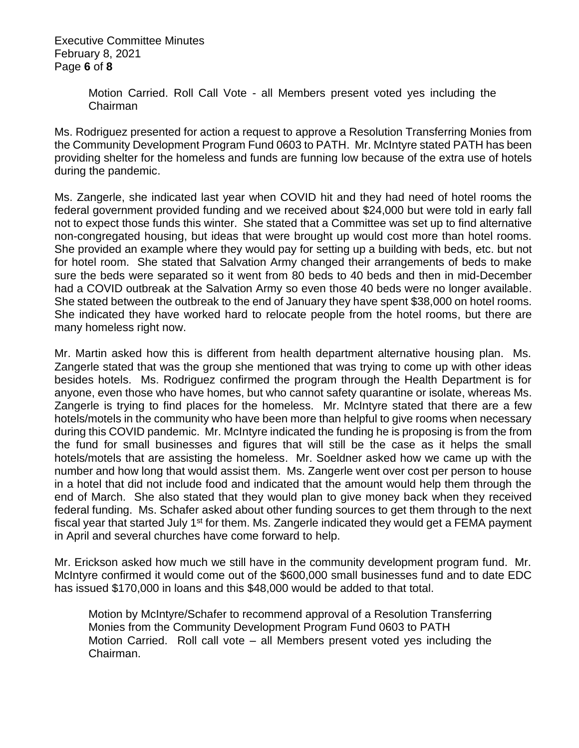Executive Committee Minutes February 8, 2021 Page **6** of **8**

> Motion Carried. Roll Call Vote - all Members present voted yes including the Chairman

Ms. Rodriguez presented for action a request to approve a Resolution Transferring Monies from the Community Development Program Fund 0603 to PATH. Mr. McIntyre stated PATH has been providing shelter for the homeless and funds are funning low because of the extra use of hotels during the pandemic.

Ms. Zangerle, she indicated last year when COVID hit and they had need of hotel rooms the federal government provided funding and we received about \$24,000 but were told in early fall not to expect those funds this winter. She stated that a Committee was set up to find alternative non-congregated housing, but ideas that were brought up would cost more than hotel rooms. She provided an example where they would pay for setting up a building with beds, etc. but not for hotel room. She stated that Salvation Army changed their arrangements of beds to make sure the beds were separated so it went from 80 beds to 40 beds and then in mid-December had a COVID outbreak at the Salvation Army so even those 40 beds were no longer available. She stated between the outbreak to the end of January they have spent \$38,000 on hotel rooms. She indicated they have worked hard to relocate people from the hotel rooms, but there are many homeless right now.

Mr. Martin asked how this is different from health department alternative housing plan. Ms. Zangerle stated that was the group she mentioned that was trying to come up with other ideas besides hotels. Ms. Rodriguez confirmed the program through the Health Department is for anyone, even those who have homes, but who cannot safety quarantine or isolate, whereas Ms. Zangerle is trying to find places for the homeless. Mr. McIntyre stated that there are a few hotels/motels in the community who have been more than helpful to give rooms when necessary during this COVID pandemic. Mr. McIntyre indicated the funding he is proposing is from the from the fund for small businesses and figures that will still be the case as it helps the small hotels/motels that are assisting the homeless. Mr. Soeldner asked how we came up with the number and how long that would assist them. Ms. Zangerle went over cost per person to house in a hotel that did not include food and indicated that the amount would help them through the end of March. She also stated that they would plan to give money back when they received federal funding. Ms. Schafer asked about other funding sources to get them through to the next fiscal year that started July 1<sup>st</sup> for them. Ms. Zangerle indicated they would get a FEMA payment in April and several churches have come forward to help.

Mr. Erickson asked how much we still have in the community development program fund. Mr. McIntyre confirmed it would come out of the \$600,000 small businesses fund and to date EDC has issued \$170,000 in loans and this \$48,000 would be added to that total.

Motion by McIntyre/Schafer to recommend approval of a Resolution Transferring Monies from the Community Development Program Fund 0603 to PATH Motion Carried. Roll call vote – all Members present voted yes including the Chairman.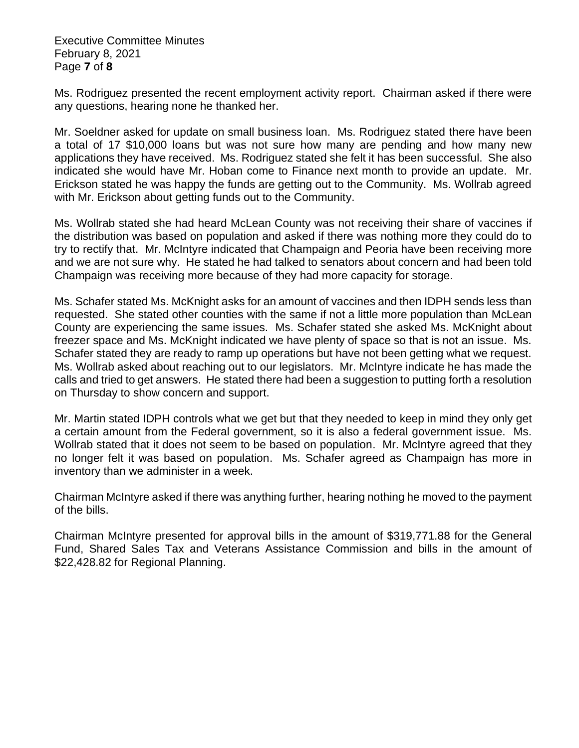Executive Committee Minutes February 8, 2021 Page **7** of **8**

Ms. Rodriguez presented the recent employment activity report. Chairman asked if there were any questions, hearing none he thanked her.

Mr. Soeldner asked for update on small business loan. Ms. Rodriguez stated there have been a total of 17 \$10,000 loans but was not sure how many are pending and how many new applications they have received. Ms. Rodriguez stated she felt it has been successful. She also indicated she would have Mr. Hoban come to Finance next month to provide an update. Mr. Erickson stated he was happy the funds are getting out to the Community. Ms. Wollrab agreed with Mr. Erickson about getting funds out to the Community.

Ms. Wollrab stated she had heard McLean County was not receiving their share of vaccines if the distribution was based on population and asked if there was nothing more they could do to try to rectify that. Mr. McIntyre indicated that Champaign and Peoria have been receiving more and we are not sure why. He stated he had talked to senators about concern and had been told Champaign was receiving more because of they had more capacity for storage.

Ms. Schafer stated Ms. McKnight asks for an amount of vaccines and then IDPH sends less than requested. She stated other counties with the same if not a little more population than McLean County are experiencing the same issues. Ms. Schafer stated she asked Ms. McKnight about freezer space and Ms. McKnight indicated we have plenty of space so that is not an issue. Ms. Schafer stated they are ready to ramp up operations but have not been getting what we request. Ms. Wollrab asked about reaching out to our legislators. Mr. McIntyre indicate he has made the calls and tried to get answers. He stated there had been a suggestion to putting forth a resolution on Thursday to show concern and support.

Mr. Martin stated IDPH controls what we get but that they needed to keep in mind they only get a certain amount from the Federal government, so it is also a federal government issue. Ms. Wollrab stated that it does not seem to be based on population. Mr. McIntyre agreed that they no longer felt it was based on population. Ms. Schafer agreed as Champaign has more in inventory than we administer in a week.

Chairman McIntyre asked if there was anything further, hearing nothing he moved to the payment of the bills.

Chairman McIntyre presented for approval bills in the amount of \$319,771.88 for the General Fund, Shared Sales Tax and Veterans Assistance Commission and bills in the amount of \$22,428.82 for Regional Planning.